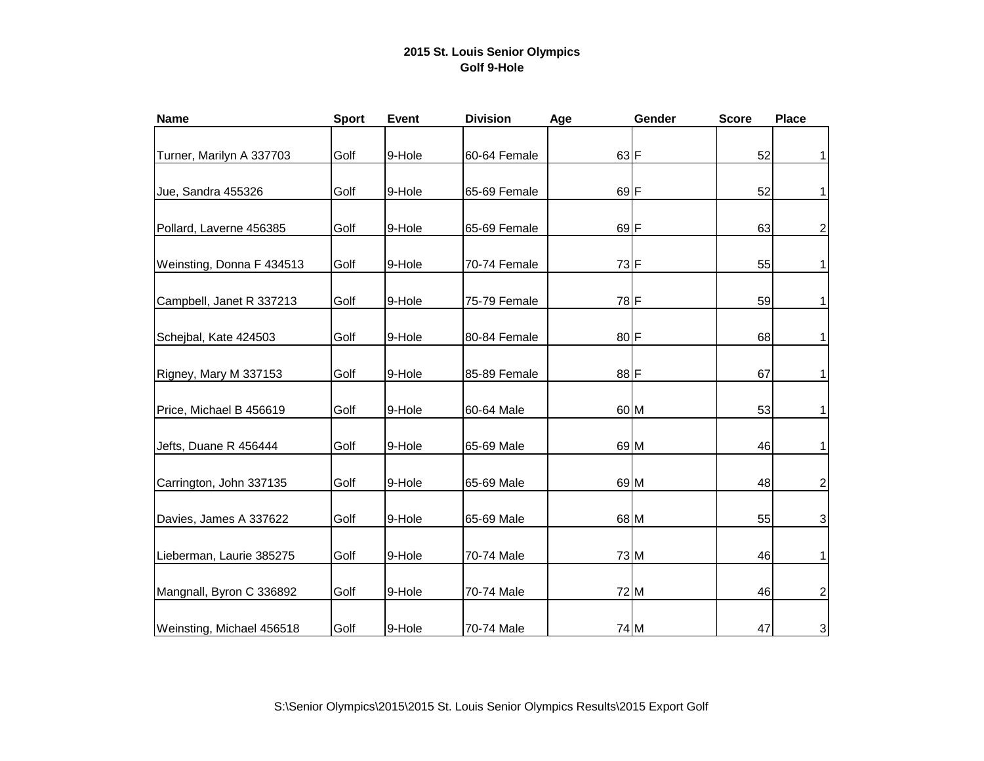## **2015 St. Louis Senior Olympics Golf 9-Hole**

| <b>Name</b>               | <b>Sport</b> | <b>Event</b> | <b>Division</b> | Age    | Gender | <b>Score</b> | <b>Place</b>              |
|---------------------------|--------------|--------------|-----------------|--------|--------|--------------|---------------------------|
| Turner, Marilyn A 337703  | Golf         | 9-Hole       | 60-64 Female    | 63 F   |        | 52           | $\mathbf{1}$              |
| Jue, Sandra 455326        | Golf         | 9-Hole       | 65-69 Female    | $69$ F |        | 52           | $\mathbf{1}$              |
| Pollard, Laverne 456385   | Golf         | 9-Hole       | 65-69 Female    | $69$ F |        | 63           | $\overline{c}$            |
| Weinsting, Donna F 434513 | Golf         | 9-Hole       | 70-74 Female    | 73 F   |        | 55           | $\mathbf{1}$              |
| Campbell, Janet R 337213  | Golf         | 9-Hole       | 75-79 Female    | 78 F   |        | 59           | $\mathbf{1}$              |
| Schejbal, Kate 424503     | Golf         | 9-Hole       | 80-84 Female    | 80 F   |        | 68           | $\mathbf{1}$              |
| Rigney, Mary M 337153     | Golf         | 9-Hole       | 85-89 Female    | 88 F   |        | 67           | $\mathbf{1}$              |
| Price, Michael B 456619   | Golf         | 9-Hole       | 60-64 Male      |        | 60 M   | 53           | $\mathbf{1}$              |
| Jefts, Duane R 456444     | Golf         | 9-Hole       | 65-69 Male      |        | 69 M   | 46           | $\mathbf{1}$              |
| Carrington, John 337135   | Golf         | 9-Hole       | 65-69 Male      |        | 69 M   | 48           | $\overline{2}$            |
| Davies, James A 337622    | Golf         | 9-Hole       | 65-69 Male      |        | 68 M   | 55           | $\mathsf 3$               |
| Lieberman, Laurie 385275  | Golf         | 9-Hole       | 70-74 Male      |        | 73 M   | 46           | $\mathbf{1}$              |
| Mangnall, Byron C 336892  | Golf         | 9-Hole       | 70-74 Male      |        | 72 M   | 46           | $\overline{2}$            |
| Weinsting, Michael 456518 | Golf         | 9-Hole       | 70-74 Male      |        | 74 M   | 47           | $\ensuremath{\mathsf{3}}$ |